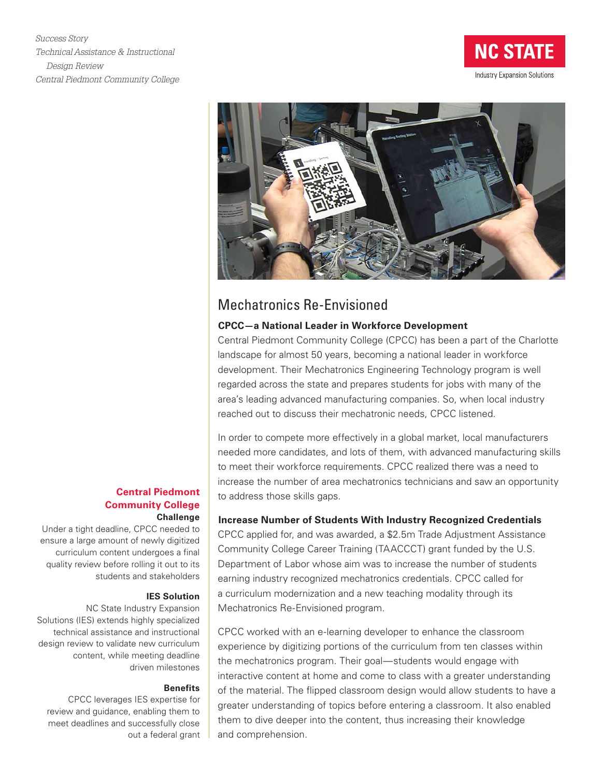*Success Story Technical Assistance & Instructional Design Review Central Piedmont Community College*





# Mechatronics Re-Envisioned

# **CPCC—a National Leader in Workforce Development**

Central Piedmont Community College (CPCC) has been a part of the Charlotte landscape for almost 50 years, becoming a national leader in workforce development. Their Mechatronics Engineering Technology program is well regarded across the state and prepares students for jobs with many of the area's leading advanced manufacturing companies. So, when local industry reached out to discuss their mechatronic needs, CPCC listened.

In order to compete more effectively in a global market, local manufacturers needed more candidates, and lots of them, with advanced manufacturing skills to meet their workforce requirements. CPCC realized there was a need to increase the number of area mechatronics technicians and saw an opportunity to address those skills gaps.

## **Increase Number of Students With Industry Recognized Credentials**

CPCC applied for, and was awarded, a \$2.5m Trade Adjustment Assistance Community College Career Training (TAACCCT) grant funded by the U.S. Department of Labor whose aim was to increase the number of students earning industry recognized mechatronics credentials. CPCC called for a curriculum modernization and a new teaching modality through its Mechatronics Re-Envisioned program.

CPCC worked with an e-learning developer to enhance the classroom experience by digitizing portions of the curriculum from ten classes within the mechatronics program. Their goal—students would engage with interactive content at home and come to class with a greater understanding of the material. The flipped classroom design would allow students to have a greater understanding of topics before entering a classroom. It also enabled them to dive deeper into the content, thus increasing their knowledge and comprehension.

# **Central Piedmont Community College Challenge**

Under a tight deadline, CPCC needed to ensure a large amount of newly digitized curriculum content undergoes a final quality review before rolling it out to its students and stakeholders

#### **IES Solution**

NC State Industry Expansion Solutions (IES) extends highly specialized technical assistance and instructional design review to validate new curriculum content, while meeting deadline driven milestones

## **Benefits**

CPCC leverages IES expertise for review and guidance, enabling them to meet deadlines and successfully close out a federal grant